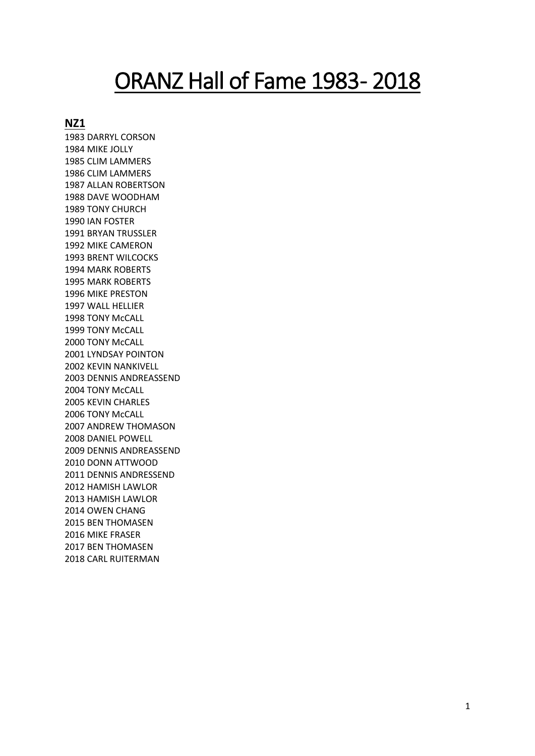# ORANZ Hall of Fame 1983-2018

# **NZ1**

1983 DARRYL CORSON 1984 MIKE JOLLY 1985 CLIM LAMMERS 1986 CLIM LAMMERS 1987 ALLAN ROBERTSON 1988 DAVE WOODHAM 1989 TONY CHURCH 1990 IAN FOSTER 1991 BRYAN TRUSSLER 1992 MIKE CAMERON 1993 BRENT WILCOCKS 1994 MARK ROBERTS 1995 MARK ROBERTS 1996 MIKE PRESTON 1997 WALL HELLIER 1998 TONY McCALL 1999 TONY McCALL 2000 TONY McCALL 2001 LYNDSAY POINTON 2002 KEVIN NANKIVELL 2003 DENNIS ANDREASSEND 2004 TONY McCALL 2005 KEVIN CHARLES 2006 TONY McCALL 2007 ANDREW THOMASON 2008 DANIEL POWELL 2009 DENNIS ANDREASSEND 2010 DONN ATTWOOD 2011 DENNIS ANDRESSEND 2012 HAMISH LAWLOR 2013 HAMISH LAWLOR 2014 OWEN CHANG 2015 BEN THOMASEN 2016 MIKE FRASER 2017 BEN THOMASEN 2018 CARL RUITERMAN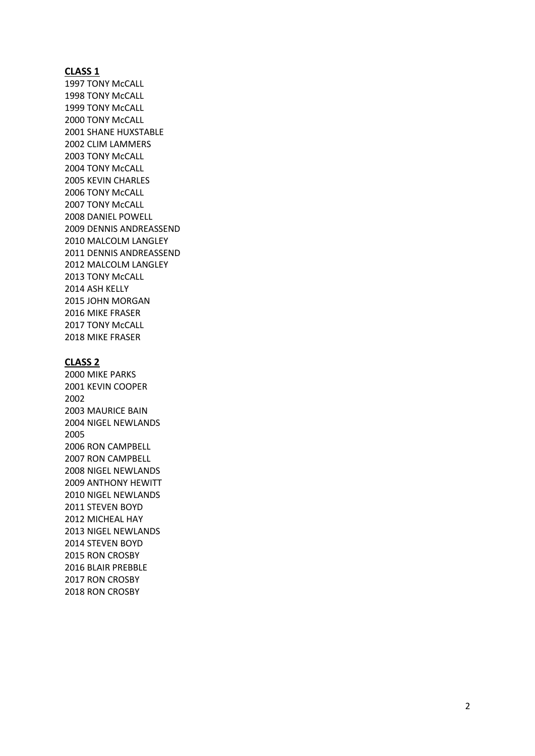1997 TONY McCALL 1998 TONY McCALL 1999 TONY McCALL 2000 TONY McCALL 2001 SHANE HUXSTABLE 2002 CLIM LAMMERS 2003 TONY McCALL 2004 TONY McCALL 2005 KEVIN CHARLES 2006 TONY McCALL 2007 TONY McCALL 2008 DANIEL POWELL 2009 DENNIS ANDREASSEND 2010 MALCOLM LANGLEY 2011 DENNIS ANDREASSEND 2012 MALCOLM LANGLEY 2013 TONY McCALL 2014 ASH KELLY 2015 JOHN MORGAN 2016 MIKE FRASER 2017 TONY McCALL 2018 MIKE FRASER

#### **CLASS 2**

2000 MIKE PARKS 2001 KEVIN COOPER 2002 2003 MAURICE BAIN 2004 NIGEL NEWLANDS 2005 2006 RON CAMPBELL 2007 RON CAMPBELL 2008 NIGEL NEWLANDS 2009 ANTHONY HEWITT 2010 NIGEL NEWLANDS 2011 STEVEN BOYD 2012 MICHEAL HAY 2013 NIGEL NEWLANDS 2014 STEVEN BOYD 2015 RON CROSBY 2016 BLAIR PREBBLE 2017 RON CROSBY 2018 RON CROSBY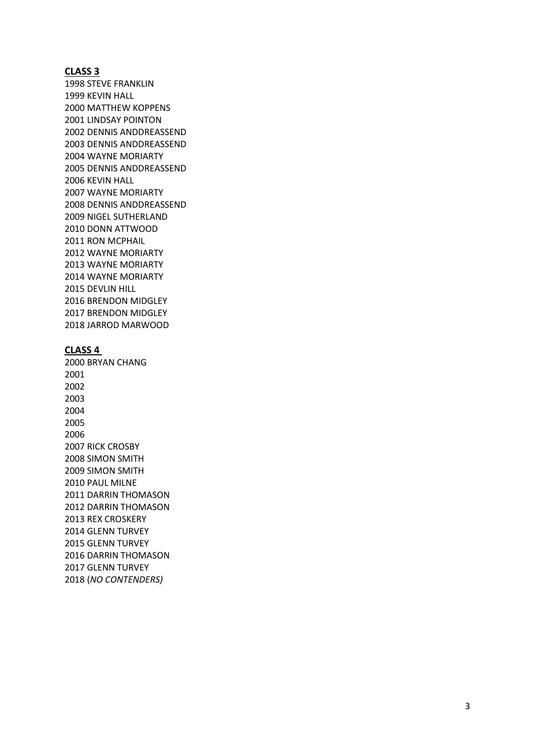1998 STEVE FRANKLIN 1999 KEVIN HALL 2000 MATTHEW KOPPENS 2001 LINDSAY POINTON 2002 DENNIS ANDDREASSEND 2003 DENNIS ANDDREASSEND 2004 WAYNE MORIARTY 2005 DENNIS ANDDREASSEND 2006 KEVIN HALL 2007 WAYNE MORIARTY 2008 DENNIS ANDDREASSEND 2009 NIGEL SUTHERLAND 2010 DONN ATTWOOD 2011 RON MCPHAIL 2012 WAYNE MORIARTY 2013 WAYNE MORIARTY 2014 WAYNE MORIARTY 2015 DEVLIN HILL 2016 BRENDON MIDGLEY 2017 BRENDON MIDGLEY 2018 JARROD MARWOOD

# **CLASS 4**

2000 BRYAN CHANG 2001 2002 2003 2004 2005 2006 2007 RICK CROSBY 2008 SIMON SMITH 2009 SIMON SMITH 2010 PAUL MILNE 2011 DARRIN THOMASON 2012 DARRIN THOMASON 2013 REX CROSKERY 2014 GLENN TURVEY 2015 GLENN TURVEY 2016 DARRIN THOMASON 2017 GLENN TURVEY 2018 (*NO CONTENDERS)*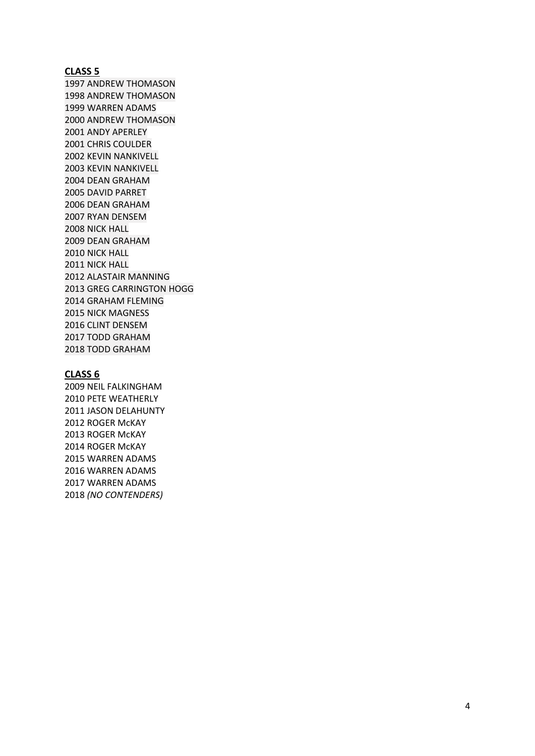1997 ANDREW THOMASON 1998 ANDREW THOMASON 1999 WARREN ADAMS 2000 ANDREW THOMASON 2001 ANDY APERLEY 2001 CHRIS COULDER 2002 KEVIN NANKIVELL 2003 KEVIN NANKIVELL 2004 DEAN GRAHAM 2005 DAVID PARRET 2006 DEAN GRAHAM 2007 RYAN DENSEM 2008 NICK HALL 2009 DEAN GRAHAM 2010 NICK HALL 2011 NICK HALL 2012 ALASTAIR MANNING 2013 GREG CARRINGTON HOGG 2014 GRAHAM FLEMING 2015 NICK MAGNESS 2016 CLINT DENSEM 2017 TODD GRAHAM 2018 TODD GRAHAM

# **CLASS 6**

2009 NEIL FALKINGHAM 2010 PETE WEATHERLY 2011 JASON DELAHUNTY 2012 ROGER McKAY 2013 ROGER McKAY 2014 ROGER McKAY 2015 WARREN ADAMS 2016 WARREN ADAMS 2017 WARREN ADAMS 2018 *(NO CONTENDERS)*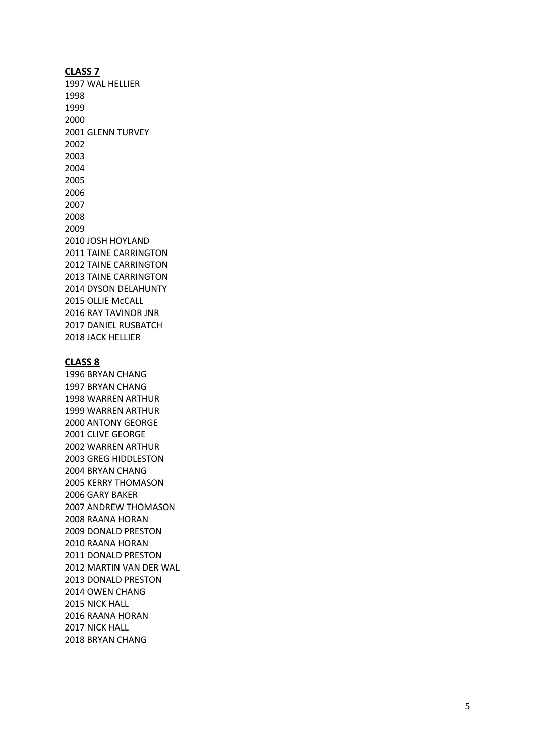1997 WAL HELLIER 1998 1999 2000 2001 GLENN TURVEY 2002 2003 2004 2005 2006 2007 2008 2009 2010 JOSH HOYLAND 2011 TAINE CARRINGTON 2012 TAINE CARRINGTON 2013 TAINE CARRINGTON 2014 DYSON DELAHUNTY 2015 OLLIE McCALL 2016 RAY TAVINOR JNR 2017 DANIEL RUSBATCH 2018 JACK HELLIER

#### **CLASS 8**

1996 BRYAN CHANG 1997 BRYAN CHANG 1998 WARREN ARTHUR 1999 WARREN ARTHUR 2000 ANTONY GEORGE 2001 CLIVE GEORGE 2002 WARREN ARTHUR 2003 GREG HIDDLESTON 2004 BRYAN CHANG 2005 KERRY THOMASON 2006 GARY BAKER 2007 ANDREW THOMASON 2008 RAANA HORAN 2009 DONALD PRESTON 2010 RAANA HORAN 2011 DONALD PRESTON 2012 MARTIN VAN DER WAL 2013 DONALD PRESTON 2014 OWEN CHANG 2015 NICK HALL 2016 RAANA HORAN 2017 NICK HALL 2018 BRYAN CHANG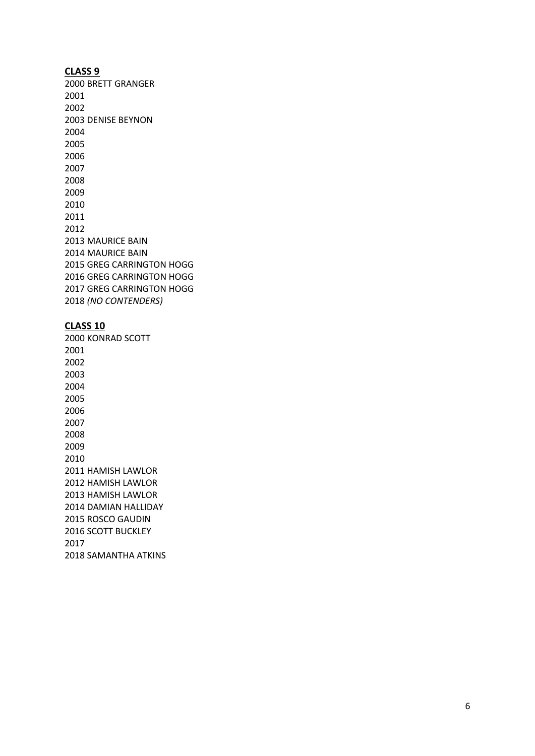2000 BRETT GRANGER 2001 2002 2003 DENISE BEYNON 2004 2005 2006 2007 2008 2009 2010 2011 2012 2013 MAURICE BAIN 2014 MAURICE BAIN 2015 GREG CARRINGTON HOGG 2016 GREG CARRINGTON HOGG 2017 GREG CARRINGTON HOGG 2018 *(NO CONTENDERS)*

#### **CLASS 10**

2000 KONRAD SCOTT 2001 2002 2003 2004 2005 2006 2007 2008 2009 2010 2011 HAMISH LAWLOR 2012 HAMISH LAWLOR 2013 HAMISH LAWLOR 2014 DAMIAN HALLIDAY 2015 ROSCO GAUDIN 2016 SCOTT BUCKLEY 2017 2018 SAMANTHA ATKINS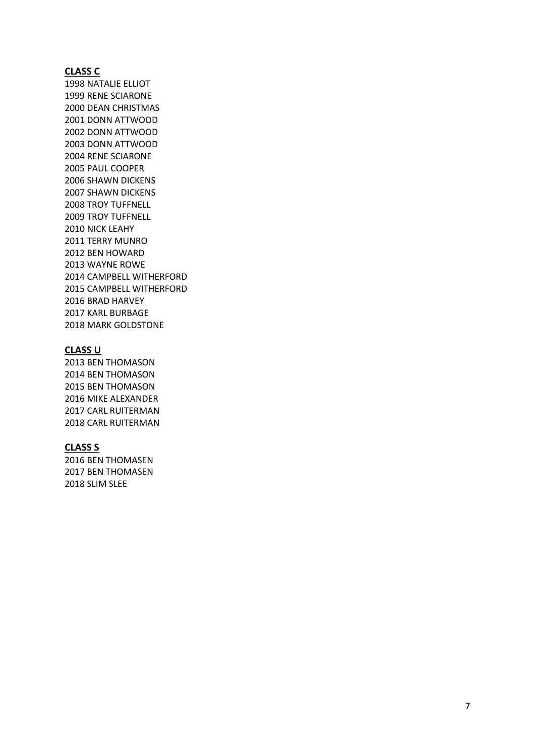# **CLASS C**

1998 NATALIE ELLIOT 1999 RENE SCIARONE 2000 DEAN CHRISTMAS 2001 DONN ATTWOOD 2002 DONN ATTWOOD 2003 DONN ATTWOOD 2004 RENE SCIARONE 2005 PAUL COOPER 2006 SHAWN DICKENS 2007 SHAWN DICKENS 2008 TROY TUFFNELL 2009 TROY TUFFNELL 2010 NICK LEAHY 2011 TERRY MUNRO 2012 BEN HOWARD 2013 WAYNE ROWE 2014 CAMPBELL WITHERFORD 2015 CAMPBELL WITHERFORD 2016 BRAD HARVEY 2017 KARL BURBAGE 2018 MARK GOLDSTONE

# **CLASS U**

2013 BEN THOMASON 2014 BEN THOMASON 2015 BEN THOMASON 2016 MIKE ALEXANDER 2017 CARL RUITERMAN 2018 CARL RUITERMAN

#### **CLASS S**

2016 BEN THOMAS E N 2017 BEN THOMAS E N 2018 SLIM SLEE